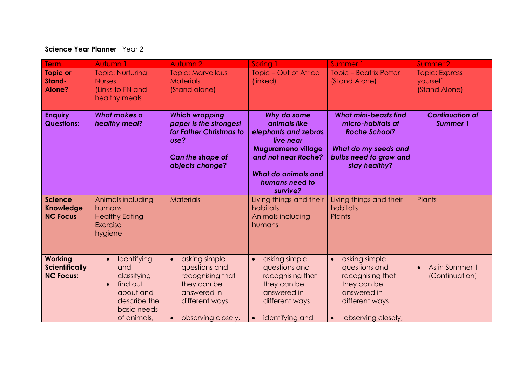## **Science Year Planner** Year 2

| <b>Term</b>                                                 | Autumn 1                                                                                                                           | <b>Autumn 2</b>                                                                                                                       | Spring 1                                                                                                                                                                  | Summer 1                                                                                                                                           | Summer 2                                           |
|-------------------------------------------------------------|------------------------------------------------------------------------------------------------------------------------------------|---------------------------------------------------------------------------------------------------------------------------------------|---------------------------------------------------------------------------------------------------------------------------------------------------------------------------|----------------------------------------------------------------------------------------------------------------------------------------------------|----------------------------------------------------|
| <b>Topic or</b><br>Stand-<br>Alone?                         | <b>Topic: Nurturing</b><br><b>Nurses</b><br>(Links to FN and<br>healthy meals                                                      | <b>Topic: Marvellous</b><br><b>Materials</b><br>(Stand alone)                                                                         | Topic – Out of Africa<br>(linked)                                                                                                                                         | <b>Topic - Beatrix Potter</b><br>(Stand Alone)                                                                                                     | <b>Topic: Express</b><br>yourself<br>(Stand Alone) |
| <b>Enquiry</b><br><b>Questions:</b>                         | What makes a<br>healthy meal?                                                                                                      | <b>Which wrapping</b><br>paper is the strongest<br>for Father Christmas to<br>use?<br>Can the shape of<br>objects change?             | Why do some<br>animals like<br>elephants and zebras<br>live near<br><b>Mugurameno village</b><br>and not near Roche?<br>What do animals and<br>humans need to<br>survive? | <b>What mini-beasts find</b><br>micro-habitats at<br><b>Roche School?</b><br>What do my seeds and<br>bulbs need to grow and<br>stay healthy?       | <b>Continuation of</b><br><b>Summer 1</b>          |
| <b>Science</b><br><b>Knowledge</b><br><b>NC Focus</b>       | Animals including<br>humans<br><b>Healthy Eating</b><br>Exercise<br>hygiene                                                        | <b>Materials</b>                                                                                                                      | Living things and their<br>habitats<br>Animals including<br>humans                                                                                                        | Living things and their<br>habitats<br>Plants                                                                                                      | Plants                                             |
| <b>Working</b><br><b>Scientifically</b><br><b>NC Focus:</b> | Identifying<br>$\bullet$<br>and<br>classifying<br>find out<br>$\bullet$<br>about and<br>describe the<br>basic needs<br>of animals, | asking simple<br>$\bullet$<br>questions and<br>recognising that<br>they can be<br>answered in<br>different ways<br>observing closely, | asking simple<br>$\bullet$<br>questions and<br>recognising that<br>they can be<br>answered in<br>different ways<br>identifying and<br>$\bullet$                           | asking simple<br>$\bullet$<br>questions and<br>recognising that<br>they can be<br>answered in<br>different ways<br>observing closely,<br>$\bullet$ | As in Summer 1<br>$\bullet$<br>(Continuation)      |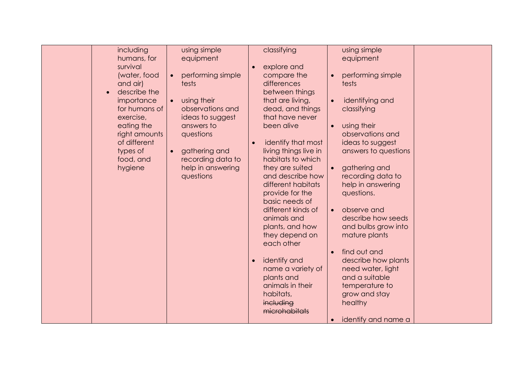| including                  | using simple                           | classifying                          |           | using simple             |  |
|----------------------------|----------------------------------------|--------------------------------------|-----------|--------------------------|--|
| humans, for                | equipment                              |                                      |           | equipment                |  |
| survival<br>(water, food   | performing simple<br>$\bullet$         | explore and<br>compare the           |           | performing simple        |  |
| and air)                   | tests                                  | differences                          |           | tests                    |  |
| describe the               |                                        | between things                       |           |                          |  |
| importance                 | using their                            | that are living,                     |           | identifying and          |  |
| for humans of<br>exercise, | observations and<br>ideas to suggest   | dead, and things<br>that have never  |           | classifying              |  |
| eating the                 | answers to                             | been alive                           |           | using their              |  |
| right amounts              | questions                              |                                      |           | observations and         |  |
| of different               |                                        | identify that most                   |           | ideas to suggest         |  |
| types of                   | gathering and<br>$\bullet$             | living things live in                |           | answers to questions     |  |
| food, and<br>hygiene       | recording data to<br>help in answering | habitats to which<br>they are suited | $\bullet$ | gathering and            |  |
|                            | questions                              | and describe how                     |           | recording data to        |  |
|                            |                                        | different habitats                   |           | help in answering        |  |
|                            |                                        | provide for the                      |           | questions.               |  |
|                            |                                        | basic needs of<br>different kinds of | $\bullet$ | observe and              |  |
|                            |                                        | animals and                          |           | describe how seeds       |  |
|                            |                                        | plants, and how                      |           | and bulbs grow into      |  |
|                            |                                        | they depend on                       |           | mature plants            |  |
|                            |                                        | each other                           |           | find out and             |  |
|                            |                                        | identify and                         |           | describe how plants      |  |
|                            |                                        | name a variety of                    |           | need water, light        |  |
|                            |                                        | plants and                           |           | and a suitable           |  |
|                            |                                        | animals in their                     |           | temperature to           |  |
|                            |                                        | habitats,<br>including               |           | grow and stay<br>healthy |  |
|                            |                                        | microhabitats                        |           |                          |  |
|                            |                                        |                                      |           | identify and name a      |  |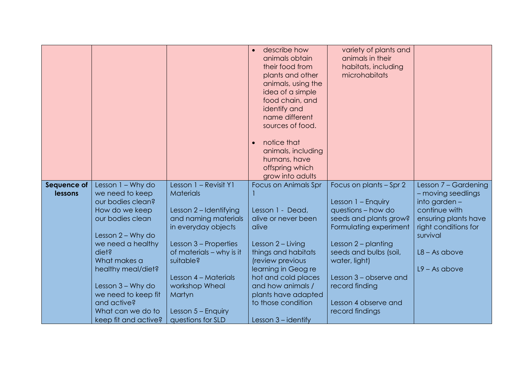|                        |                                        |                                           | describe how<br>animals obtain<br>their food from<br>plants and other<br>animals, using the<br>idea of a simple<br>food chain, and<br>identify and<br>name different<br>sources of food.<br>notice that<br>$\bullet$<br>animals, including<br>humans, have<br>offspring which<br>grow into adults | variety of plants and<br>animals in their<br>habitats, including<br>microhabitats |                                            |
|------------------------|----------------------------------------|-------------------------------------------|---------------------------------------------------------------------------------------------------------------------------------------------------------------------------------------------------------------------------------------------------------------------------------------------------|-----------------------------------------------------------------------------------|--------------------------------------------|
| Sequence of<br>lessons | Lesson $1 - Why$ do<br>we need to keep | Lesson 1 - Revisit Y1<br><b>Materials</b> | Focus on Animals Spr                                                                                                                                                                                                                                                                              | Focus on plants - Spr 2                                                           | Lesson 7 - Gardening<br>- moving seedlings |
|                        | our bodies clean?                      |                                           |                                                                                                                                                                                                                                                                                                   | Lesson 1 - Enquiry                                                                | into garden-                               |
|                        | How do we keep                         | Lesson 2 - Identifying                    | Lesson 1 - Dead,                                                                                                                                                                                                                                                                                  | questions - how do                                                                | continue with                              |
|                        | our bodies clean                       | and naming materials                      | alive or never been                                                                                                                                                                                                                                                                               | seeds and plants grow?                                                            | ensuring plants have                       |
|                        |                                        | in everyday objects                       | alive                                                                                                                                                                                                                                                                                             | Formulating experiment                                                            | right conditions for                       |
|                        | Lesson 2 - Why do                      |                                           |                                                                                                                                                                                                                                                                                                   |                                                                                   | survival                                   |
|                        | we need a healthy                      | Lesson 3 - Properties                     | Lesson 2 - Living                                                                                                                                                                                                                                                                                 | Lesson $2$ – planting                                                             |                                            |
|                        | diet?                                  | of materials - why is it                  | things and habitats                                                                                                                                                                                                                                                                               | seeds and bulbs (soil,                                                            | $L8 - As above$                            |
|                        | What makes a<br>healthy meal/diet?     | suitable?                                 | (review previous<br>learning in Geog re                                                                                                                                                                                                                                                           | water, light)                                                                     | $L9 - As above$                            |
|                        |                                        | Lesson 4 – Materials                      | hot and cold places                                                                                                                                                                                                                                                                               | Lesson 3 - observe and                                                            |                                            |
|                        | Lesson 3 - Why do                      | workshop Wheal                            | and how animals /                                                                                                                                                                                                                                                                                 | record finding                                                                    |                                            |
|                        | we need to keep fit                    | Martyn                                    | plants have adapted                                                                                                                                                                                                                                                                               |                                                                                   |                                            |
|                        | and active?                            |                                           | to those condition                                                                                                                                                                                                                                                                                | Lesson 4 observe and                                                              |                                            |
|                        | What can we do to                      | Lesson $5$ – Enquiry                      |                                                                                                                                                                                                                                                                                                   | record findings                                                                   |                                            |
|                        | keep fit and active?                   | questions for SLD                         | Lesson $3$ – identify                                                                                                                                                                                                                                                                             |                                                                                   |                                            |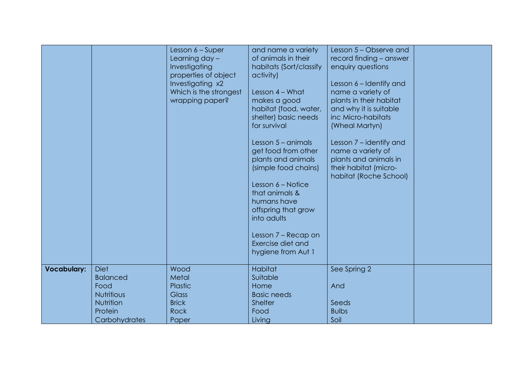|                    |                                                                                                      | Lesson 6 – Super<br>Learning day -<br>Investigating<br>properties of object<br>Investigating x2<br>Which is the strongest<br>wrapping paper? | and name a variety<br>of animals in their<br>habitats (Sort/classify<br>activity)<br>Lesson 4 - What<br>makes a good<br>habitat (food, water,<br>shelter) basic needs<br>for survival<br>Lesson 5 – animals<br>get food from other<br>plants and animals<br>(simple food chains)<br>Lesson 6 – Notice<br>that animals &<br>humans have<br>offspring that grow<br>into adults<br>Lesson 7 – Recap on<br>Exercise diet and<br>hygiene from Aut 1 | Lesson 5 – Observe and<br>record finding - answer<br>enquiry questions<br>Lesson 6 – Identify and<br>name a variety of<br>plants in their habitat<br>and why it is suitable<br>inc Micro-habitats<br>(Wheal Martyn)<br>Lesson 7 – identify and<br>name a variety of<br>plants and animals in<br>their habitat (micro-<br>habitat (Roche School) |  |
|--------------------|------------------------------------------------------------------------------------------------------|----------------------------------------------------------------------------------------------------------------------------------------------|------------------------------------------------------------------------------------------------------------------------------------------------------------------------------------------------------------------------------------------------------------------------------------------------------------------------------------------------------------------------------------------------------------------------------------------------|-------------------------------------------------------------------------------------------------------------------------------------------------------------------------------------------------------------------------------------------------------------------------------------------------------------------------------------------------|--|
| <b>Vocabulary:</b> | <b>Diet</b><br><b>Balanced</b><br>Food<br><b>Nutritious</b><br>Nutrition<br>Protein<br>Carbohydrates | Wood<br>Metal<br>Plastic<br><b>Glass</b><br><b>Brick</b><br>Rock<br>Paper                                                                    | Habitat<br>Suitable<br>Home<br><b>Basic needs</b><br><b>Shelter</b><br>Food<br>Living                                                                                                                                                                                                                                                                                                                                                          | See Spring 2<br>And<br>Seeds<br><b>Bulbs</b><br>Soil                                                                                                                                                                                                                                                                                            |  |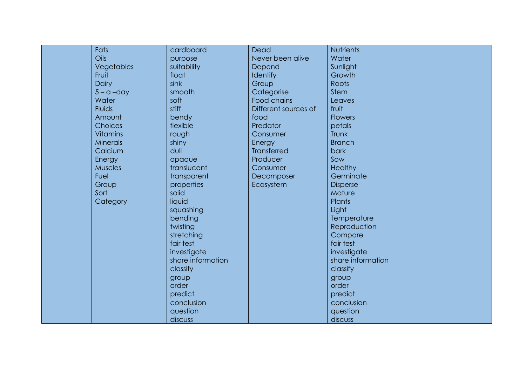| <b>Fats</b>     | cardboard         | Dead                 | <b>Nutrients</b>  |  |
|-----------------|-------------------|----------------------|-------------------|--|
| <b>Oils</b>     | purpose           | Never been alive     | Water             |  |
| Vegetables      | suitability       | Depend               | Sunlight          |  |
| Fruit           | float             | Identify             | Growth            |  |
| Dairy           | sink              | Group                | Roots             |  |
| $5 - a - day$   | smooth            | Categorise           | <b>Stem</b>       |  |
| Water           | soft              | Food chains          | Leaves            |  |
| <b>Fluids</b>   | stiff             | Different sources of | fruit             |  |
| Amount          | bendy             | food                 | <b>Flowers</b>    |  |
| Choices         | flexible          | Predator             | petals            |  |
| <b>Vitamins</b> | rough             | Consumer             | <b>Trunk</b>      |  |
| <b>Minerals</b> | shiny             | Energy               | <b>Branch</b>     |  |
| Calcium         | dull              | <b>Transferred</b>   | bark              |  |
| Energy          | opaque            | Producer             | Sow               |  |
| <b>Muscles</b>  | translucent       | Consumer             | <b>Healthy</b>    |  |
| Fuel            | transparent       | Decomposer           | Germinate         |  |
| Group           | properties        | Ecosystem            | <b>Disperse</b>   |  |
| Sort            | solid             |                      | Mature            |  |
| Category        | liquid            |                      | <b>Plants</b>     |  |
|                 | squashing         |                      | Light             |  |
|                 | bending           |                      | Temperature       |  |
|                 | twisting          |                      | Reproduction      |  |
|                 | stretching        |                      | Compare           |  |
|                 | fair test         |                      | fair test         |  |
|                 | investigate       |                      | investigate       |  |
|                 | share information |                      | share information |  |
|                 | classify          |                      | classify          |  |
|                 | group             |                      | group             |  |
|                 | order             |                      | order             |  |
|                 | predict           |                      | predict           |  |
|                 | conclusion        |                      | conclusion        |  |
|                 | question          |                      | question          |  |
|                 | discuss           |                      | discuss           |  |